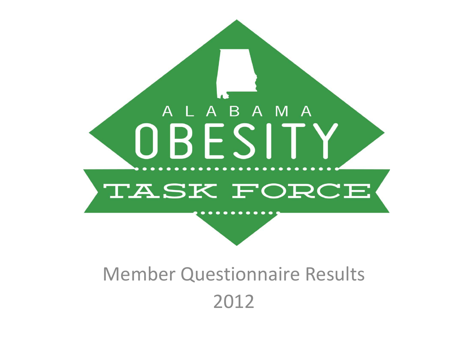

### Member Questionnaire Results 2012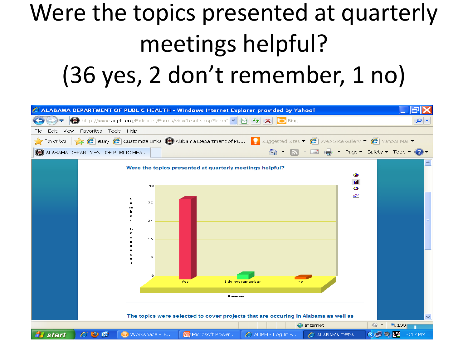## Were the topics presented at quarterly meetings helpful? (36 yes, 2 don't remember, 1 no)

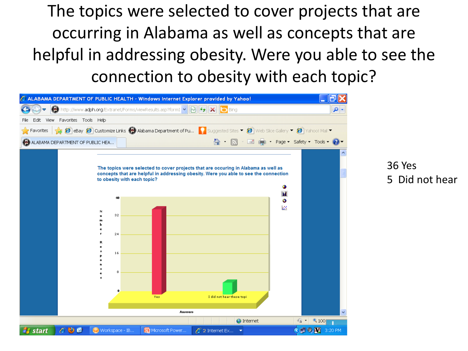The topics were selected to cover projects that are occurring in Alabama as well as concepts that are helpful in addressing obesity. Were you able to see the connection to obesity with each topic?

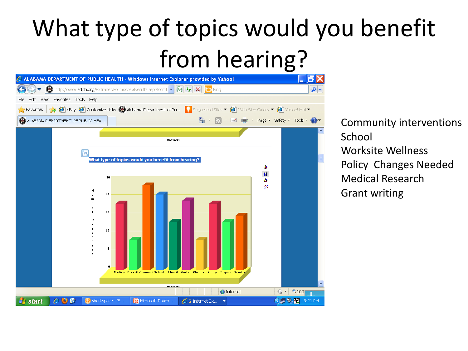## What type of topics would you benefit from hearing?

| $\mathbb C$ ALABAMA DEPARTMENT OF PUBLIC HEALTH - Windows Internet Explorer provided by Yahoo!                                                                                           |     |
|------------------------------------------------------------------------------------------------------------------------------------------------------------------------------------------|-----|
| $\bigcirc$ http://www.adph.org/Extranet/Forms/viewResults.asp?formI $\bigcirc$ $\bigcirc$ $\bigcirc$ $\bigcirc$<br><b>b</b> Bing                                                         | - م |
| Edit View Favorites Tools Help<br>File                                                                                                                                                   |     |
| Favorites $\bigotimes$ eBay $\bigcirc$ Customize Links $\bigcirc$ Alabama Department of Pu Designested Sites $\bullet$ $\circ$ Web Slice Gallery $\bullet$ $\circ$ Yahoo! Mail $\bullet$ |     |
| A · A · ■ A · Page · Safety · Tools · 2 ·<br>ALABAMA DEPARTMENT OF PUBLIC HEA                                                                                                            |     |
|                                                                                                                                                                                          |     |
| <b>Answers</b>                                                                                                                                                                           |     |
| Гa                                                                                                                                                                                       |     |
| What type of topics would you benefit from hearing?<br>۰                                                                                                                                 |     |
| Ы<br>30                                                                                                                                                                                  |     |
| ٥<br>区                                                                                                                                                                                   |     |
| N<br>24<br>$\mathbf{u}$                                                                                                                                                                  |     |
|                                                                                                                                                                                          |     |
| 18                                                                                                                                                                                       |     |
| $1\,2$                                                                                                                                                                                   |     |
|                                                                                                                                                                                          |     |
| 6                                                                                                                                                                                        |     |
|                                                                                                                                                                                          |     |
| $\mathbf{0}$<br>Medical Breastf Communi School Identif Worksit Pharmac Policy Sugars Grant w                                                                                             |     |
|                                                                                                                                                                                          | v   |
| <b>Andrews</b><br>$Q$ 100<br>瘤,<br><b>O</b> Internet                                                                                                                                     |     |
| $\bigodot$ 0. $\bigcirc$ 3:21 PM<br>start<br>$\bullet$<br>Workspace - IB<br><b>To</b> Microsoft Power<br>$€$ 2 Internet Ex ▼<br>e                                                        |     |

Community interventions **School** Worksite Wellness Policy Changes Needed Medical Research Grant writing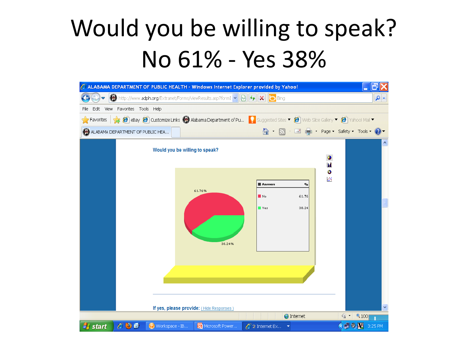### Would you be willing to speak? No 61% - Yes 38%

|                                                                                                                                                                                         |                                    |                | C ALABAMA DEPARTMENT OF PUBLIC HEALTH - Windows Internet Explorer provided by Yahoo!                     |                                   |                   |                       |                          |  |
|-----------------------------------------------------------------------------------------------------------------------------------------------------------------------------------------|------------------------------------|----------------|----------------------------------------------------------------------------------------------------------|-----------------------------------|-------------------|-----------------------|--------------------------|--|
|                                                                                                                                                                                         |                                    |                | $\bigcirc$ http://www.adph.org/Extranet/Forms/viewResults.asp?formI $\bigvee  \bigotimes   \bigotimes  $ | <b>b</b> Bing                     |                   |                       | - م                      |  |
| File                                                                                                                                                                                    | Edit View Favorites Tools Help     |                |                                                                                                          |                                   |                   |                       |                          |  |
| Favorites $\frac{1}{2}$ eBay $\bigcirc$ customize Links $\bigcirc$ Alabama Department of Pu Buggested Sites $\bullet$ $\circ$ Web Slice Gallery $\bullet$ $\circ$ Yahoo! Mail $\bullet$ |                                    |                |                                                                                                          |                                   |                   |                       |                          |  |
| △ · ■ ■ · Page · Safety · Tools · ② ·<br>ALABAMA DEPARTMENT OF PUBLIC HEA                                                                                                               |                                    |                |                                                                                                          |                                   |                   |                       |                          |  |
|                                                                                                                                                                                         |                                    |                | Would you be willing to speak?                                                                           |                                   |                   |                       | $\overline{\phantom{a}}$ |  |
|                                                                                                                                                                                         |                                    |                |                                                                                                          |                                   |                   | $\bullet$<br>Ы        |                          |  |
|                                                                                                                                                                                         |                                    |                |                                                                                                          |                                   |                   | Ò                     |                          |  |
|                                                                                                                                                                                         |                                    |                |                                                                                                          | Answers                           | $\mathbf{0}_0$    | Ø                     |                          |  |
|                                                                                                                                                                                         |                                    |                | 61.76%                                                                                                   | $\blacksquare$ No                 | 61.76             |                       |                          |  |
|                                                                                                                                                                                         |                                    |                |                                                                                                          | Ves                               | 38.24             |                       |                          |  |
|                                                                                                                                                                                         |                                    |                |                                                                                                          |                                   |                   |                       |                          |  |
|                                                                                                                                                                                         |                                    |                |                                                                                                          |                                   |                   |                       |                          |  |
|                                                                                                                                                                                         |                                    |                | 38.24%                                                                                                   |                                   |                   |                       |                          |  |
|                                                                                                                                                                                         |                                    |                |                                                                                                          |                                   |                   |                       |                          |  |
|                                                                                                                                                                                         |                                    |                |                                                                                                          |                                   |                   |                       |                          |  |
|                                                                                                                                                                                         |                                    |                |                                                                                                          |                                   |                   |                       |                          |  |
|                                                                                                                                                                                         |                                    |                |                                                                                                          |                                   |                   |                       |                          |  |
|                                                                                                                                                                                         |                                    |                |                                                                                                          |                                   |                   |                       | $\checkmark$             |  |
|                                                                                                                                                                                         |                                    |                | If yes, please provide: (Hide Responses)                                                                 |                                   | <b>O</b> Internet | $\bigcirc$ $\bigcirc$ | $\bigoplus$ 100          |  |
| start                                                                                                                                                                                   | $\mathcal{C} \bullet \mathfrak{G}$ | Workspace - IB | Microsoft Power                                                                                          | $e^2$ 2 Internet Ex $\rightarrow$ |                   |                       | <b>⊙ D D M</b> 3:25 PM   |  |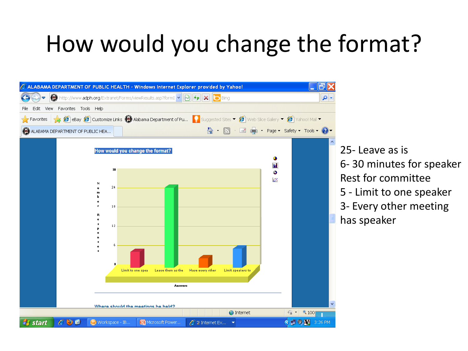### How would you change the format?



25- Leave as is 6- 30 minutes for speaker Rest for committee 5 - Limit to one speaker 3- Every other meeting has speaker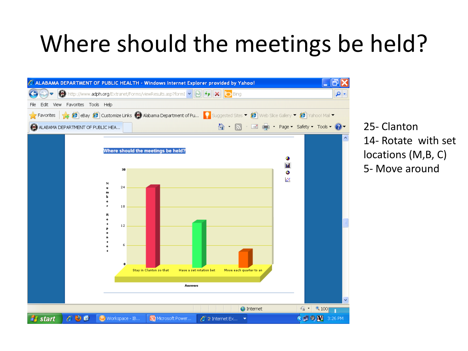### Where should the meetings be held?



25- Clanton 14- Rotate with set locations (M,B, C) 5- Move around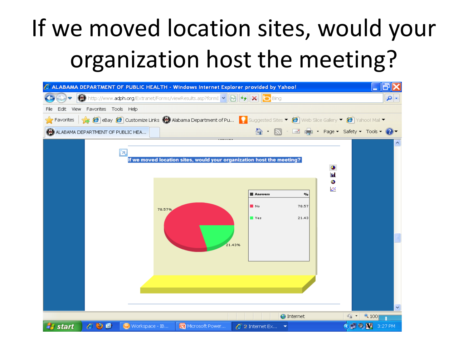# If we moved location sites, would your organization host the meeting?

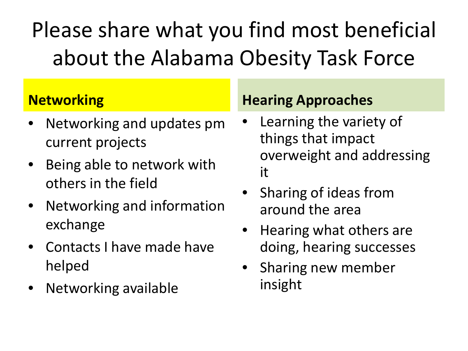Please share what you find most beneficial about the Alabama Obesity Task Force

#### **Networking**

- Networking and updates pm current projects
- Being able to network with others in the field
- Networking and information exchange
- Contacts I have made have helped
- Networking available

#### **Hearing Approaches**

- Learning the variety of things that impact overweight and addressing it
- Sharing of ideas from around the area
- Hearing what others are doing, hearing successes
- Sharing new member insight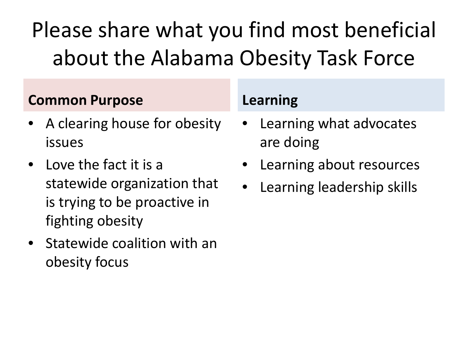Please share what you find most beneficial about the Alabama Obesity Task Force

#### **Common Purpose**

- A clearing house for obesity issues
- Love the fact it is a statewide organization that is trying to be proactive in fighting obesity
- Statewide coalition with an obesity focus

#### **Learning**

- Learning what advocates are doing
- Learning about resources
- Learning leadership skills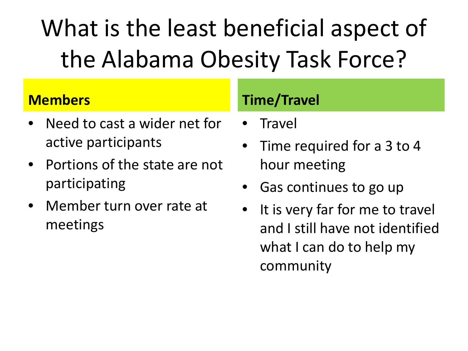# What is the least beneficial aspect of the Alabama Obesity Task Force?

#### **Members**

- Need to cast a wider net for active participants
- Portions of the state are not participating
- Member turn over rate at meetings

#### **Time/Travel**

- Travel
- Time required for a 3 to 4 hour meeting
- Gas continues to go up
- It is very far for me to travel and I still have not identified what I can do to help my community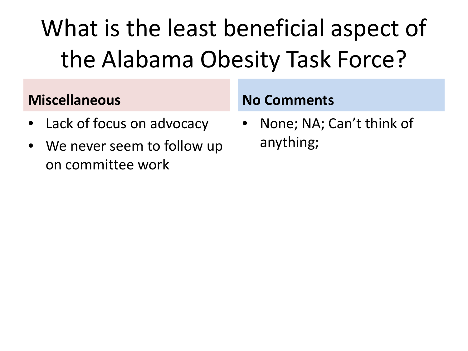# What is the least beneficial aspect of the Alabama Obesity Task Force?

#### **Miscellaneous**

- Lack of focus on advocacy
- We never seem to follow up on committee work

#### **No Comments**

• None; NA; Can't think of anything;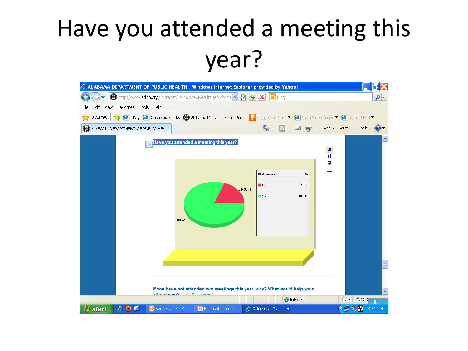### Have you attended a meeting this year?